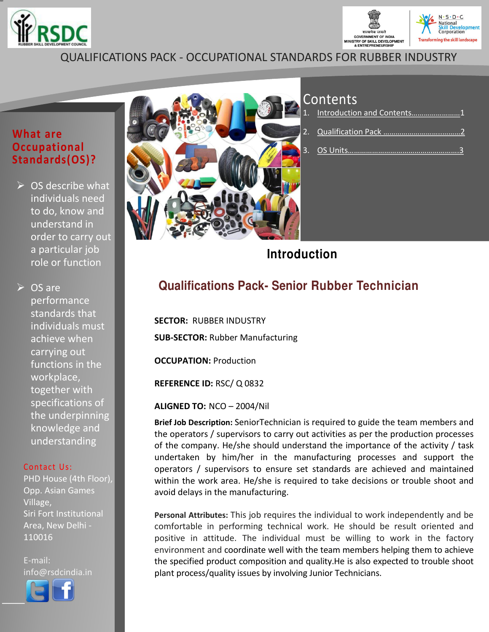



## QUALIFICATIONS PACK - OCCUPATIONAL STANDARDS FOR RUBBER INDUSTRY

#### **What are Occupational Standards(OS)?**

 $\triangleright$  OS describe what individuals need to do, know and understand in order to carry out a particular job role or function

**► OS are** 

performance standards that individuals must achieve when carrying out functions in the workplace, together with specifications of the underpinning knowledge and understanding

#### Contact Us:

PHD House (4th Floor), Opp. Asian Games Village, Siri Fort Institutional Area, New Delhi - 110016

E-mail: info@rsdcindia.in



l,



## Contents

| 1. Introduction and Contents1 |
|-------------------------------|
|                               |
|                               |

**Introduction**

## **Qualifications Pack- Senior Rubber Technician**

**SECTOR:** RUBBER INDUSTRY **SUB-SECTOR:** Rubber Manufacturing

<span id="page-0-0"></span>**OCCUPATION:** Production

**REFERENCE ID:** RSC/ Q 0832

**ALIGNED TO:** NCO – 2004/Nil

**Brief Job Description:** SeniorTechnician is required to guide the team members and the operators / supervisors to carry out activities as per the production processes of the company. He/she should understand the importance of the activity / task undertaken by him/her in the manufacturing processes and support the operators / supervisors to ensure set standards are achieved and maintained within the work area. He/she is required to take decisions or trouble shoot and avoid delays in the manufacturing.

**Personal Attributes:** This job requires the individual to work independently and be comfortable in performing technical work. He should be result oriented and positive in attitude. The individual must be willing to work in the factory environment and coordinate well with the team members helping them to achieve the specified product composition and quality.He is also expected to trouble shoot plant process/quality issues by involving Junior Technicians.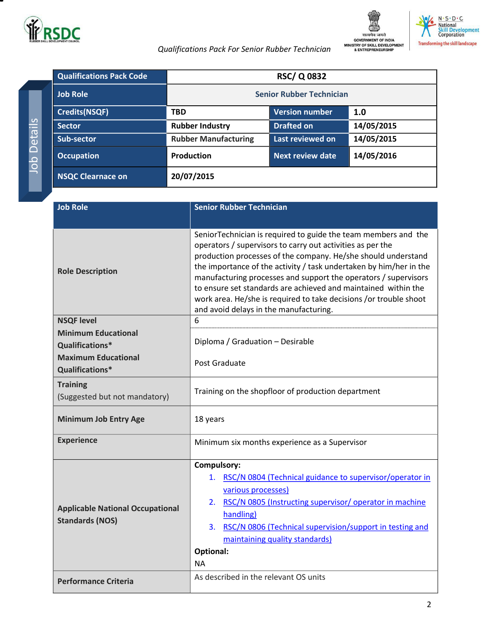

Job Details

**Details** 



 *Qualifications Pack For Senior Rubber Technician* 

<span id="page-1-1"></span>

|  | <b>Qualifications Pack Code</b> |                                 | <b>RSC/Q0832</b>      |            |
|--|---------------------------------|---------------------------------|-----------------------|------------|
|  | <b>Job Role</b>                 | <b>Senior Rubber Technician</b> |                       |            |
|  | <b>Credits(NSQF)</b>            | <b>TBD</b>                      | <b>Version number</b> | 1.0        |
|  | <b>Sector</b>                   | <b>Rubber Industry</b>          | <b>Drafted on</b>     | 14/05/2015 |
|  | Sub-sector                      | <b>Rubber Manufacturing</b>     | Last reviewed on      | 14/05/2015 |
|  | <b>Occupation</b>               | <b>Production</b>               | Next review date      | 14/05/2016 |
|  | <b>NSQC Clearnace on</b>        | 20/07/2015                      |                       |            |

<span id="page-1-0"></span>

| <b>Job Role</b>                                                   | <b>Senior Rubber Technician</b>                                                                                                                                                                                                                                                                                                                                                                                                                                                                                         |  |
|-------------------------------------------------------------------|-------------------------------------------------------------------------------------------------------------------------------------------------------------------------------------------------------------------------------------------------------------------------------------------------------------------------------------------------------------------------------------------------------------------------------------------------------------------------------------------------------------------------|--|
|                                                                   |                                                                                                                                                                                                                                                                                                                                                                                                                                                                                                                         |  |
| <b>Role Description</b>                                           | SeniorTechnician is required to guide the team members and the<br>operators / supervisors to carry out activities as per the<br>production processes of the company. He/she should understand<br>the importance of the activity / task undertaken by him/her in the<br>manufacturing processes and support the operators / supervisors<br>to ensure set standards are achieved and maintained within the<br>work area. He/she is required to take decisions /or trouble shoot<br>and avoid delays in the manufacturing. |  |
| <b>NSQF level</b>                                                 | 6                                                                                                                                                                                                                                                                                                                                                                                                                                                                                                                       |  |
| <b>Minimum Educational</b><br>Qualifications*                     | Diploma / Graduation - Desirable                                                                                                                                                                                                                                                                                                                                                                                                                                                                                        |  |
| <b>Maximum Educational</b><br>Qualifications*                     | Post Graduate                                                                                                                                                                                                                                                                                                                                                                                                                                                                                                           |  |
| <b>Training</b><br>(Suggested but not mandatory)                  | Training on the shopfloor of production department                                                                                                                                                                                                                                                                                                                                                                                                                                                                      |  |
| <b>Minimum Job Entry Age</b>                                      | 18 years                                                                                                                                                                                                                                                                                                                                                                                                                                                                                                                |  |
| <b>Experience</b>                                                 | Minimum six months experience as a Supervisor                                                                                                                                                                                                                                                                                                                                                                                                                                                                           |  |
| <b>Applicable National Occupational</b><br><b>Standards (NOS)</b> | Compulsory:<br>RSC/N 0804 (Technical guidance to supervisor/operator in<br>1.<br>various processes)<br>RSC/N 0805 (Instructing supervisor/operator in machine<br>2.<br>handling)<br>RSC/N 0806 (Technical supervision/support in testing and<br>3.<br>maintaining quality standards)<br><b>Optional:</b><br>NA.                                                                                                                                                                                                         |  |
| <b>Performance Criteria</b>                                       | As described in the relevant OS units                                                                                                                                                                                                                                                                                                                                                                                                                                                                                   |  |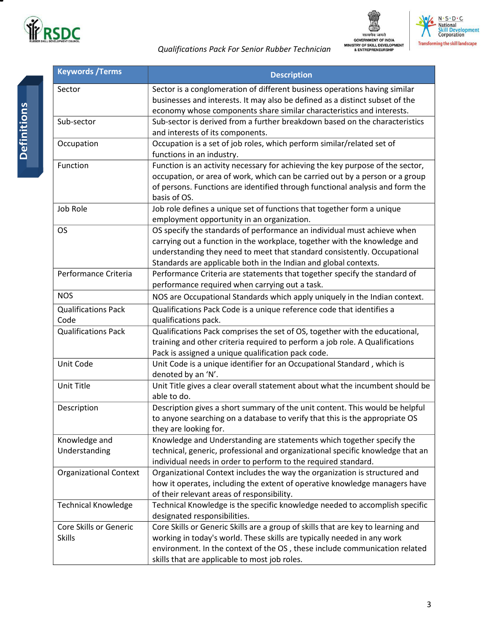

 *Qualifications Pack For Senior Rubber Technician* 





| <b>Keywords / Terms</b>                 | <b>Description</b>                                                                                                                                                                                                                                                                                   |
|-----------------------------------------|------------------------------------------------------------------------------------------------------------------------------------------------------------------------------------------------------------------------------------------------------------------------------------------------------|
| Sector                                  | Sector is a conglomeration of different business operations having similar<br>businesses and interests. It may also be defined as a distinct subset of the                                                                                                                                           |
|                                         | economy whose components share similar characteristics and interests.                                                                                                                                                                                                                                |
| Sub-sector                              | Sub-sector is derived from a further breakdown based on the characteristics<br>and interests of its components.                                                                                                                                                                                      |
| Occupation                              | Occupation is a set of job roles, which perform similar/related set of<br>functions in an industry.                                                                                                                                                                                                  |
| Function                                | Function is an activity necessary for achieving the key purpose of the sector,<br>occupation, or area of work, which can be carried out by a person or a group<br>of persons. Functions are identified through functional analysis and form the<br>basis of OS.                                      |
| Job Role                                | Job role defines a unique set of functions that together form a unique<br>employment opportunity in an organization.                                                                                                                                                                                 |
| <b>OS</b>                               | OS specify the standards of performance an individual must achieve when<br>carrying out a function in the workplace, together with the knowledge and<br>understanding they need to meet that standard consistently. Occupational<br>Standards are applicable both in the Indian and global contexts. |
| Performance Criteria                    | Performance Criteria are statements that together specify the standard of<br>performance required when carrying out a task.                                                                                                                                                                          |
| <b>NOS</b>                              | NOS are Occupational Standards which apply uniquely in the Indian context.                                                                                                                                                                                                                           |
| <b>Qualifications Pack</b><br>Code      | Qualifications Pack Code is a unique reference code that identifies a<br>qualifications pack.                                                                                                                                                                                                        |
| <b>Qualifications Pack</b>              | Qualifications Pack comprises the set of OS, together with the educational,<br>training and other criteria required to perform a job role. A Qualifications<br>Pack is assigned a unique qualification pack code.                                                                                    |
| Unit Code                               | Unit Code is a unique identifier for an Occupational Standard, which is<br>denoted by an 'N'.                                                                                                                                                                                                        |
| Unit Title                              | Unit Title gives a clear overall statement about what the incumbent should be<br>able to do.                                                                                                                                                                                                         |
| Description                             | Description gives a short summary of the unit content. This would be helpful<br>to anyone searching on a database to verify that this is the appropriate OS<br>they are looking for.                                                                                                                 |
| Knowledge and                           | Knowledge and Understanding are statements which together specify the                                                                                                                                                                                                                                |
| Understanding                           | technical, generic, professional and organizational specific knowledge that an<br>individual needs in order to perform to the required standard.                                                                                                                                                     |
| <b>Organizational Context</b>           | Organizational Context includes the way the organization is structured and<br>how it operates, including the extent of operative knowledge managers have<br>of their relevant areas of responsibility.                                                                                               |
| <b>Technical Knowledge</b>              | Technical Knowledge is the specific knowledge needed to accomplish specific<br>designated responsibilities.                                                                                                                                                                                          |
| Core Skills or Generic<br><b>Skills</b> | Core Skills or Generic Skills are a group of skills that are key to learning and<br>working in today's world. These skills are typically needed in any work<br>environment. In the context of the OS, these include communication related<br>skills that are applicable to most job roles.           |

т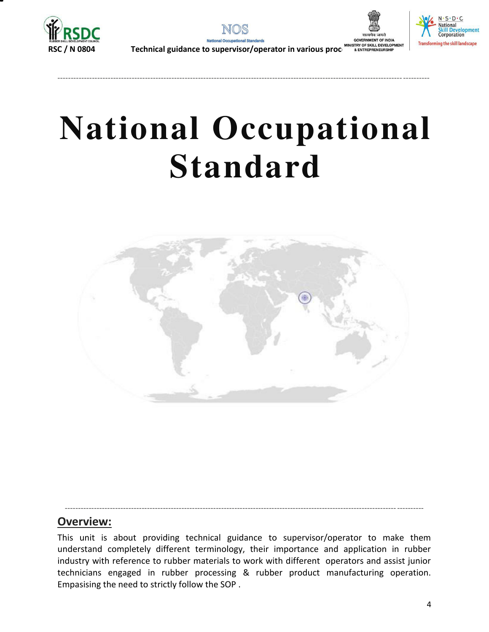





# **National Occupational Standard**

---------------------------------------------------------------------------------------------------------------------------------- ----------

<span id="page-3-0"></span>

### **Overview:**

This unit is about providing technical guidance to supervisor/operator to make them understand completely different terminology, their importance and application in rubber industry with reference to rubber materials to work with different operators and assist junior technicians engaged in rubber processing & rubber product manufacturing operation. Empasising the need to strictly follow the SOP .

<span id="page-3-1"></span>----------------------------------------------------------------------------------------------------------------------------- ----------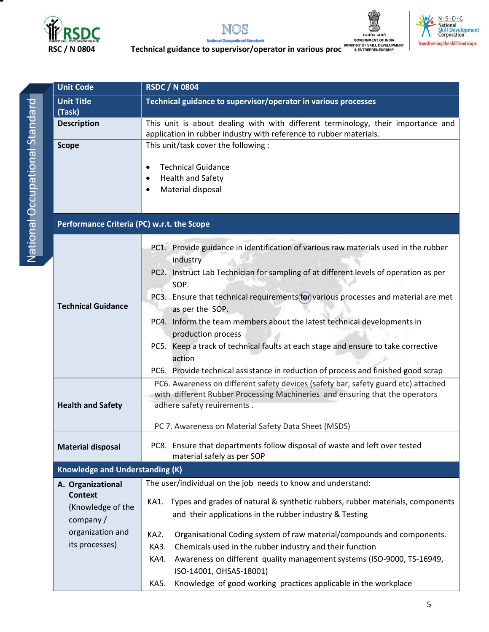







**Radional Occupational Standards**<br>RSC / N 0804 **Technical [guidance to supervisor/operator in various processes](#page-3-1)sessessesses**<br>RSC / N 0804 **Technical guidance to supervisor/operator in various processessessessessesses** 

| This unit is about dealing with with different terminology, their importance and                                                                                   |
|--------------------------------------------------------------------------------------------------------------------------------------------------------------------|
|                                                                                                                                                                    |
|                                                                                                                                                                    |
|                                                                                                                                                                    |
|                                                                                                                                                                    |
|                                                                                                                                                                    |
|                                                                                                                                                                    |
|                                                                                                                                                                    |
|                                                                                                                                                                    |
| PC1. Provide guidance in identification of various raw materials used in the rubber                                                                                |
| PC2. Instruct Lab Technician for sampling of at different levels of operation as per                                                                               |
| PC3. Ensure that technical requirements for various processes and material are met                                                                                 |
| PC4. Inform the team members about the latest technical developments in                                                                                            |
| PC5. Keep a track of technical faults at each stage and ensure to take corrective                                                                                  |
| PC6. Provide technical assistance in reduction of process and finished good scrap                                                                                  |
| PC6. Awareness on different safety devices (safety bar, safety guard etc) attached<br>with different Rubber Processing Machineries and ensuring that the operators |
|                                                                                                                                                                    |
| PC8. Ensure that departments follow disposal of waste and left over tested                                                                                         |
|                                                                                                                                                                    |
|                                                                                                                                                                    |
| KA1. Types and grades of natural & synthetic rubbers, rubber materials, components                                                                                 |
|                                                                                                                                                                    |
| Organisational Coding system of raw material/compounds and components.                                                                                             |
|                                                                                                                                                                    |
| Awareness on different quality management systems (ISO-9000, TS-16949,                                                                                             |
| Knowledge of good working practices applicable in the workplace                                                                                                    |
|                                                                                                                                                                    |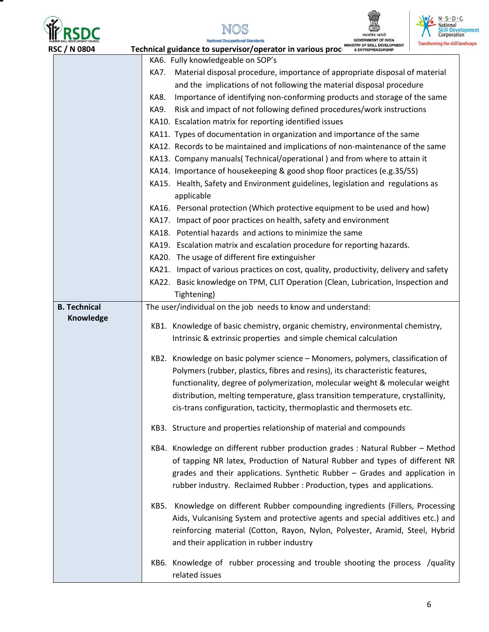







| MINISTRY OF SKILL DEVELOPMENT<br>& ENTREPRENEURSHIP<br><b>RSC / N 0804</b><br>Technical guidance to supervisor/operator in various proc |                                                                                                                                                    |
|-----------------------------------------------------------------------------------------------------------------------------------------|----------------------------------------------------------------------------------------------------------------------------------------------------|
|                                                                                                                                         | KA6. Fully knowledgeable on SOP's                                                                                                                  |
|                                                                                                                                         | Material disposal procedure, importance of appropriate disposal of material<br>KA7.                                                                |
|                                                                                                                                         | and the implications of not following the material disposal procedure                                                                              |
|                                                                                                                                         | Importance of identifying non-conforming products and storage of the same<br>KA8.                                                                  |
|                                                                                                                                         | Risk and impact of not following defined procedures/work instructions<br>KA9.                                                                      |
|                                                                                                                                         | KA10. Escalation matrix for reporting identified issues                                                                                            |
|                                                                                                                                         | KA11. Types of documentation in organization and importance of the same                                                                            |
|                                                                                                                                         | KA12. Records to be maintained and implications of non-maintenance of the same                                                                     |
|                                                                                                                                         | KA13. Company manuals(Technical/operational) and from where to attain it                                                                           |
|                                                                                                                                         | KA14. Importance of housekeeping & good shop floor practices (e.g.3S/5S)                                                                           |
|                                                                                                                                         | KA15. Health, Safety and Environment guidelines, legislation and regulations as<br>applicable                                                      |
|                                                                                                                                         | KA16. Personal protection (Which protective equipment to be used and how)                                                                          |
|                                                                                                                                         | KA17. Impact of poor practices on health, safety and environment                                                                                   |
|                                                                                                                                         | KA18. Potential hazards and actions to minimize the same                                                                                           |
|                                                                                                                                         | KA19. Escalation matrix and escalation procedure for reporting hazards.                                                                            |
|                                                                                                                                         | KA20. The usage of different fire extinguisher                                                                                                     |
|                                                                                                                                         | KA21. Impact of various practices on cost, quality, productivity, delivery and safety                                                              |
|                                                                                                                                         | KA22. Basic knowledge on TPM, CLIT Operation (Clean, Lubrication, Inspection and                                                                   |
|                                                                                                                                         | Tightening)                                                                                                                                        |
| <b>B. Technical</b>                                                                                                                     | The user/individual on the job needs to know and understand:                                                                                       |
| Knowledge                                                                                                                               |                                                                                                                                                    |
|                                                                                                                                         | KB1. Knowledge of basic chemistry, organic chemistry, environmental chemistry,<br>Intrinsic & extrinsic properties and simple chemical calculation |
|                                                                                                                                         |                                                                                                                                                    |
|                                                                                                                                         | KB2. Knowledge on basic polymer science - Monomers, polymers, classification of                                                                    |
|                                                                                                                                         | Polymers (rubber, plastics, fibres and resins), its characteristic features,                                                                       |
|                                                                                                                                         | functionality, degree of polymerization, molecular weight & molecular weight                                                                       |
|                                                                                                                                         | distribution, melting temperature, glass transition temperature, crystallinity,                                                                    |
|                                                                                                                                         | cis-trans configuration, tacticity, thermoplastic and thermosets etc.                                                                              |
|                                                                                                                                         | KB3. Structure and properties relationship of material and compounds                                                                               |
|                                                                                                                                         | KB4. Knowledge on different rubber production grades: Natural Rubber - Method                                                                      |
|                                                                                                                                         | of tapping NR latex, Production of Natural Rubber and types of different NR                                                                        |
|                                                                                                                                         | grades and their applications. Synthetic Rubber - Grades and application in                                                                        |
|                                                                                                                                         | rubber industry. Reclaimed Rubber: Production, types and applications.                                                                             |
|                                                                                                                                         | Knowledge on different Rubber compounding ingredients (Fillers, Processing<br>KB5.                                                                 |
|                                                                                                                                         | Aids, Vulcanising System and protective agents and special additives etc.) and                                                                     |
|                                                                                                                                         | reinforcing material (Cotton, Rayon, Nylon, Polyester, Aramid, Steel, Hybrid                                                                       |
|                                                                                                                                         | and their application in rubber industry                                                                                                           |
|                                                                                                                                         |                                                                                                                                                    |
|                                                                                                                                         | KB6. Knowledge of rubber processing and trouble shooting the process /quality                                                                      |
|                                                                                                                                         | related issues                                                                                                                                     |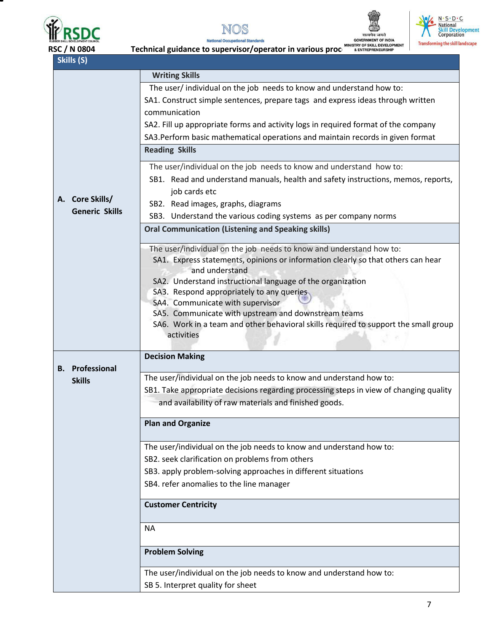







| Skills (S)             |                                                                                                          |  |  |
|------------------------|----------------------------------------------------------------------------------------------------------|--|--|
|                        | <b>Writing Skills</b>                                                                                    |  |  |
|                        | The user/individual on the job needs to know and understand how to:                                      |  |  |
|                        | SA1. Construct simple sentences, prepare tags and express ideas through written                          |  |  |
|                        | communication                                                                                            |  |  |
|                        | SA2. Fill up appropriate forms and activity logs in required format of the company                       |  |  |
|                        | SA3. Perform basic mathematical operations and maintain records in given format                          |  |  |
|                        | <b>Reading Skills</b>                                                                                    |  |  |
|                        | The user/individual on the job needs to know and understand how to:                                      |  |  |
|                        | SB1. Read and understand manuals, health and safety instructions, memos, reports,                        |  |  |
|                        | job cards etc                                                                                            |  |  |
| A. Core Skills/        | SB2. Read images, graphs, diagrams                                                                       |  |  |
| <b>Generic Skills</b>  | SB3. Understand the various coding systems as per company norms                                          |  |  |
|                        | <b>Oral Communication (Listening and Speaking skills)</b>                                                |  |  |
|                        | The user/individual on the job needs to know and understand how to:                                      |  |  |
|                        | SA1. Express statements, opinions or information clearly so that others can hear                         |  |  |
|                        | and understand                                                                                           |  |  |
|                        | SA2. Understand instructional language of the organization<br>SA3. Respond appropriately to any queries. |  |  |
|                        | SA4. Communicate with supervisor                                                                         |  |  |
|                        | SA5. Communicate with upstream and downstream teams                                                      |  |  |
|                        | SA6. Work in a team and other behavioral skills required to support the small group                      |  |  |
|                        | activities                                                                                               |  |  |
|                        | <b>Decision Making</b>                                                                                   |  |  |
| <b>B.</b> Professional |                                                                                                          |  |  |
| <b>Skills</b>          | The user/individual on the job needs to know and understand how to:                                      |  |  |
|                        | SB1. Take appropriate decisions regarding processing steps in view of changing quality                   |  |  |
|                        | and availability of raw materials and finished goods.                                                    |  |  |
|                        | <b>Plan and Organize</b>                                                                                 |  |  |
|                        | The user/individual on the job needs to know and understand how to:                                      |  |  |
|                        | SB2. seek clarification on problems from others                                                          |  |  |
|                        | SB3. apply problem-solving approaches in different situations                                            |  |  |
|                        | SB4. refer anomalies to the line manager                                                                 |  |  |
|                        | <b>Customer Centricity</b>                                                                               |  |  |
|                        | <b>NA</b>                                                                                                |  |  |
|                        | <b>Problem Solving</b>                                                                                   |  |  |
|                        | The user/individual on the job needs to know and understand how to:                                      |  |  |
|                        | SB 5. Interpret quality for sheet                                                                        |  |  |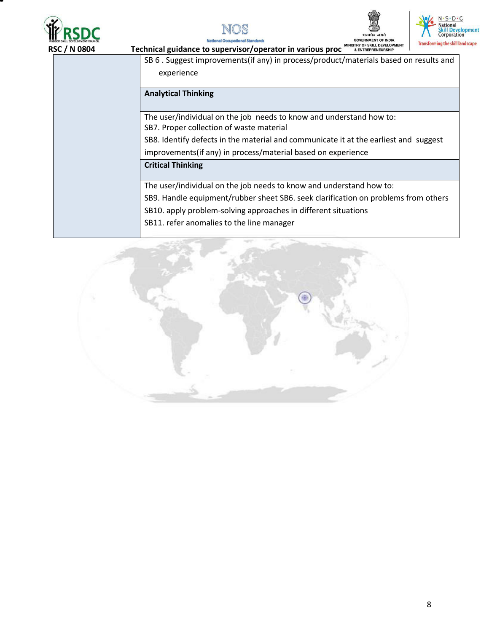







al Occupational Stan Nat

| SB 6 . Suggest improvements(if any) in process/product/materials based on results and                           |
|-----------------------------------------------------------------------------------------------------------------|
| experience                                                                                                      |
| <b>Analytical Thinking</b>                                                                                      |
| The user/individual on the job needs to know and understand how to:<br>SB7. Proper collection of waste material |
| SB8. Identify defects in the material and communicate it at the earliest and suggest                            |
| improvements(if any) in process/material based on experience                                                    |
| <b>Critical Thinking</b>                                                                                        |
| The user/individual on the job needs to know and understand how to:                                             |
| SB9. Handle equipment/rubber sheet SB6. seek clarification on problems from others                              |
| SB10. apply problem-solving approaches in different situations                                                  |
| SB11. refer anomalies to the line manager                                                                       |

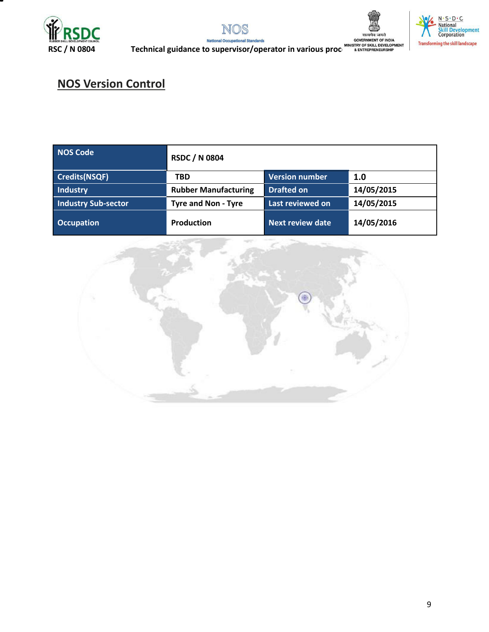







**RSC / N 0804**<br>RSC / N 0804 **Technical guidance to supervisor/operator in various processing of SKILL DEVELOPMENT<br>RENTREPRENEURSHIP** 

## **NOS Version Control**

| <b>NOS Code</b>            | <b>RSDC / N 0804</b>        |                         |            |
|----------------------------|-----------------------------|-------------------------|------------|
| Credits(NSQF)              | <b>TBD</b>                  | Version number          | 1.0        |
| Industry                   | <b>Rubber Manufacturing</b> |                         | 14/05/2015 |
| <b>Industry Sub-sector</b> | <b>Tyre and Non - Tyre</b>  | Last reviewed on        | 14/05/2015 |
| <b>Occupation</b>          | <b>Production</b>           | <b>Next review date</b> | 14/05/2016 |

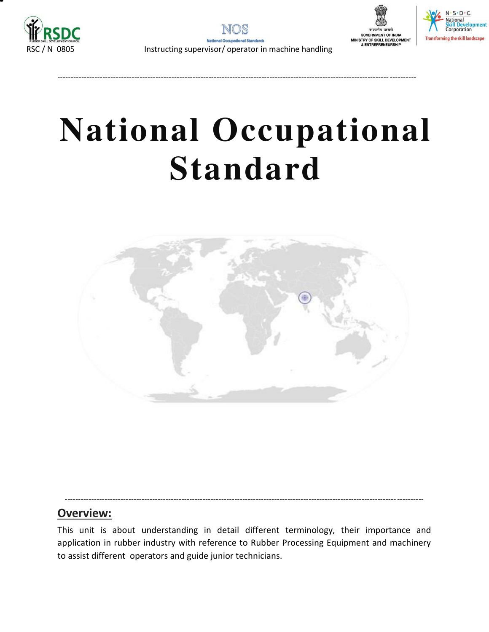

----------------------------------------------------------------------------------------------------------------------------- ----------





# **National Occupational Standard**

<span id="page-9-0"></span>

### **Overview:**

This unit is about understanding in detail different terminology, their importance and application in rubber industry with reference to Rubber Processing Equipment and machinery to assist different operators and guide junior technicians.

----------------------------------------------------------------------------------------------------------------------------- ----------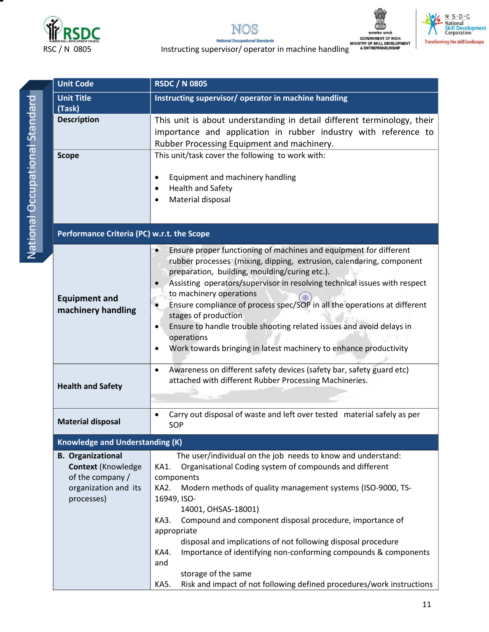







ERROR CONSISTENT CONSISTENT OF INDIA<br>RSC / N 0805 Instructing supervisor/ operator in machine handling **ALEX SEC AND A ENTREPRENEURSHIP** 

| <b>Unit Code</b>                                                                                         | <b>RSDC / N 0805</b>                                                                                                                                                                                                                                                                                                                                                                                                                                                                                                                                                                                            |  |  |  |
|----------------------------------------------------------------------------------------------------------|-----------------------------------------------------------------------------------------------------------------------------------------------------------------------------------------------------------------------------------------------------------------------------------------------------------------------------------------------------------------------------------------------------------------------------------------------------------------------------------------------------------------------------------------------------------------------------------------------------------------|--|--|--|
| <b>Unit Title</b><br>(Task)                                                                              | Instructing supervisor/ operator in machine handling                                                                                                                                                                                                                                                                                                                                                                                                                                                                                                                                                            |  |  |  |
| <b>Description</b>                                                                                       | This unit is about understanding in detail different terminology, their<br>importance and application in rubber industry with reference to<br>Rubber Processing Equipment and machinery.                                                                                                                                                                                                                                                                                                                                                                                                                        |  |  |  |
| <b>Scope</b>                                                                                             | This unit/task cover the following to work with:<br>Equipment and machinery handling<br><b>Health and Safety</b><br>Material disposal                                                                                                                                                                                                                                                                                                                                                                                                                                                                           |  |  |  |
| Performance Criteria (PC) w.r.t. the Scope                                                               |                                                                                                                                                                                                                                                                                                                                                                                                                                                                                                                                                                                                                 |  |  |  |
| <b>Equipment and</b><br>machinery handling                                                               | Ensure proper functioning of machines and equipment for different<br>rubber processes (mixing, dipping, extrusion, calendaring, component<br>preparation, building, moulding/curing etc.).<br>Assisting operators/supervisor in resolving technical issues with respect<br>to machinery operations<br>Ensure compliance of process spec/SOP in all the operations at different<br>stages of production<br>Ensure to handle trouble shooting related issues and avoid delays in<br>٠<br>operations<br>Work towards bringing in latest machinery to enhance productivity                                          |  |  |  |
| <b>Health and Safety</b>                                                                                 | Awareness on different safety devices (safety bar, safety guard etc)<br>$\bullet$<br>attached with different Rubber Processing Machineries.                                                                                                                                                                                                                                                                                                                                                                                                                                                                     |  |  |  |
| <b>Material disposal</b>                                                                                 | Carry out disposal of waste and left over tested material safely as per<br>SOP                                                                                                                                                                                                                                                                                                                                                                                                                                                                                                                                  |  |  |  |
| <b>Knowledge and Understanding (K)</b>                                                                   |                                                                                                                                                                                                                                                                                                                                                                                                                                                                                                                                                                                                                 |  |  |  |
| <b>B.</b> Organizational<br>Context (Knowledge<br>of the company /<br>organization and its<br>processes) | The user/individual on the job needs to know and understand:<br>Organisational Coding system of compounds and different<br>KA1.<br>components<br>Modern methods of quality management systems (ISO-9000, TS-<br>KA2.<br>16949, ISO-<br>14001, OHSAS-18001)<br>Compound and component disposal procedure, importance of<br>KA3.<br>appropriate<br>disposal and implications of not following disposal procedure<br>Importance of identifying non-conforming compounds & components<br>KA4.<br>and<br>storage of the same<br>Risk and impact of not following defined procedures/work instructions<br><b>KA5.</b> |  |  |  |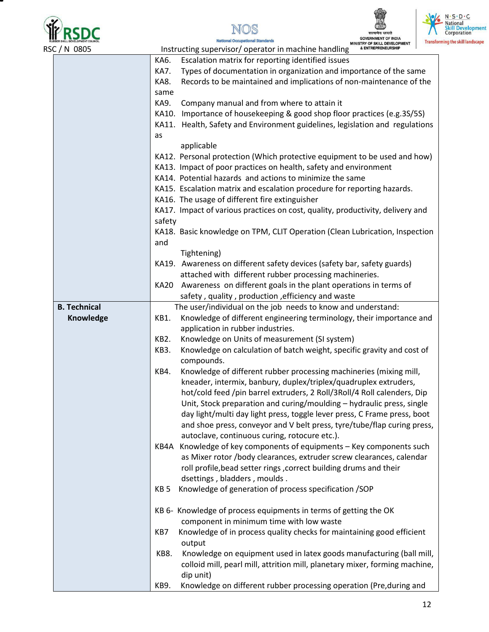



Nation





| RSC / N 0805 |                     |        | IIJINI UF JNILL DEVELUFINENI<br>& ENTREPRENEURSHIP<br>Instructing supervisor/ operator in machine handling |
|--------------|---------------------|--------|------------------------------------------------------------------------------------------------------------|
|              |                     | KA6.   | Escalation matrix for reporting identified issues                                                          |
|              |                     | KA7.   | Types of documentation in organization and importance of the same                                          |
|              |                     | KA8.   | Records to be maintained and implications of non-maintenance of the                                        |
|              |                     | same   |                                                                                                            |
|              |                     | KA9.   | Company manual and from where to attain it                                                                 |
|              |                     |        | KA10. Importance of housekeeping & good shop floor practices (e.g.3S/5S)                                   |
|              |                     |        | KA11. Health, Safety and Environment guidelines, legislation and regulations                               |
|              |                     | as     |                                                                                                            |
|              |                     |        | applicable                                                                                                 |
|              |                     |        | KA12. Personal protection (Which protective equipment to be used and how)                                  |
|              |                     |        | KA13. Impact of poor practices on health, safety and environment                                           |
|              |                     |        | KA14. Potential hazards and actions to minimize the same                                                   |
|              |                     |        | KA15. Escalation matrix and escalation procedure for reporting hazards.                                    |
|              |                     |        | KA16. The usage of different fire extinguisher                                                             |
|              |                     |        | KA17. Impact of various practices on cost, quality, productivity, delivery and                             |
|              |                     | safety |                                                                                                            |
|              |                     |        | KA18. Basic knowledge on TPM, CLIT Operation (Clean Lubrication, Inspection                                |
|              |                     | and    | Tightening)                                                                                                |
|              |                     |        | KA19. Awareness on different safety devices (safety bar, safety guards)                                    |
|              |                     |        | attached with different rubber processing machineries.                                                     |
|              |                     | KA20   | Awareness on different goals in the plant operations in terms of                                           |
|              |                     |        | safety, quality, production, efficiency and waste                                                          |
|              | <b>B. Technical</b> |        | The user/individual on the job needs to know and understand:                                               |
|              | Knowledge           | KB1.   | Knowledge of different engineering terminology, their importance and                                       |
|              |                     |        | application in rubber industries.                                                                          |
|              |                     | KB2.   | Knowledge on Units of measurement (SI system)                                                              |
|              |                     | KB3.   | Knowledge on calculation of batch weight, specific gravity and cost of                                     |
|              |                     |        | compounds.                                                                                                 |
|              |                     | KB4.   | Knowledge of different rubber processing machineries (mixing mill,                                         |
|              |                     |        | kneader, intermix, banbury, duplex/triplex/quadruplex extruders,                                           |
|              |                     |        | hot/cold feed /pin barrel extruders, 2 Roll/3Roll/4 Roll calenders, Dip                                    |
|              |                     |        | Unit, Stock preparation and curing/moulding - hydraulic press, single                                      |
|              |                     |        | day light/multi day light press, toggle lever press, C Frame press, boot                                   |
|              |                     |        | and shoe press, conveyor and V belt press, tyre/tube/flap curing press,                                    |
|              |                     |        | autoclave, continuous curing, rotocure etc.).                                                              |
|              |                     | KB4A   | Knowledge of key components of equipments - Key components such                                            |
|              |                     |        | as Mixer rotor /body clearances, extruder screw clearances, calendar                                       |
|              |                     |        | roll profile, bead setter rings, correct building drums and their                                          |
|              |                     |        | dsettings, bladders, moulds.                                                                               |
|              |                     | KB 5   | Knowledge of generation of process specification /SOP                                                      |
|              |                     |        | KB 6- Knowledge of process equipments in terms of getting the OK                                           |
|              |                     |        | component in minimum time with low waste                                                                   |
|              |                     | KB7    | Knowledge of in process quality checks for maintaining good efficient                                      |
|              |                     |        | output                                                                                                     |
|              |                     | KB8.   | Knowledge on equipment used in latex goods manufacturing (ball mill,                                       |
|              |                     |        | colloid mill, pearl mill, attrition mill, planetary mixer, forming machine,                                |
|              |                     |        | dip unit)                                                                                                  |
|              |                     | KB9.   | Knowledge on different rubber processing operation (Pre, during and                                        |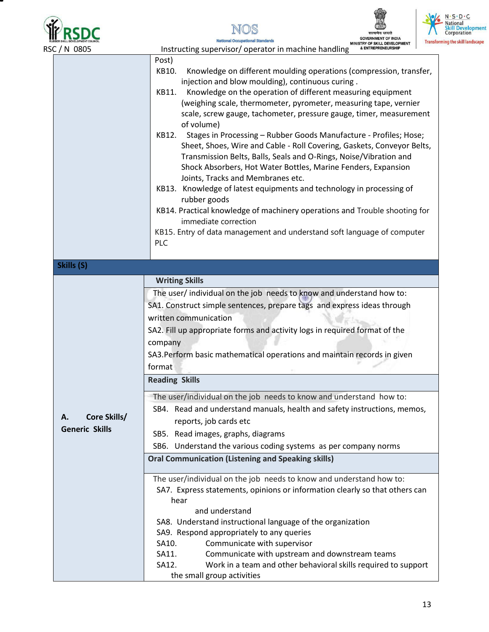

NOS

**National Occupational Standards** 



M

| RSC / N 0805                                | & ENTREPRENEURSHIP<br>Instructing supervisor/operator in machine handling                                                                                                                                                                                                                                                                                                                                                                                                                                                                                                                                                                                                                                                                                                                                                                                                                                                                                                                   |
|---------------------------------------------|---------------------------------------------------------------------------------------------------------------------------------------------------------------------------------------------------------------------------------------------------------------------------------------------------------------------------------------------------------------------------------------------------------------------------------------------------------------------------------------------------------------------------------------------------------------------------------------------------------------------------------------------------------------------------------------------------------------------------------------------------------------------------------------------------------------------------------------------------------------------------------------------------------------------------------------------------------------------------------------------|
|                                             | Post)<br>Knowledge on different moulding operations (compression, transfer,<br>KB10.<br>injection and blow moulding), continuous curing.<br>Knowledge on the operation of different measuring equipment<br>KB11.<br>(weighing scale, thermometer, pyrometer, measuring tape, vernier<br>scale, screw gauge, tachometer, pressure gauge, timer, measurement<br>of volume)<br>Stages in Processing - Rubber Goods Manufacture - Profiles; Hose;<br>KB12.<br>Sheet, Shoes, Wire and Cable - Roll Covering, Gaskets, Conveyor Belts,<br>Transmission Belts, Balls, Seals and O-Rings, Noise/Vibration and<br>Shock Absorbers, Hot Water Bottles, Marine Fenders, Expansion<br>Joints, Tracks and Membranes etc.<br>KB13. Knowledge of latest equipments and technology in processing of<br>rubber goods<br>KB14. Practical knowledge of machinery operations and Trouble shooting for<br>immediate correction<br>KB15. Entry of data management and understand soft language of computer<br>PLC |
| Skills (S)                                  |                                                                                                                                                                                                                                                                                                                                                                                                                                                                                                                                                                                                                                                                                                                                                                                                                                                                                                                                                                                             |
|                                             | <b>Writing Skills</b><br>The user/ individual on the job needs to know and understand how to:<br>SA1. Construct simple sentences, prepare tags and express ideas through<br>written communication<br>SA2. Fill up appropriate forms and activity logs in required format of the<br>company<br>SA3. Perform basic mathematical operations and maintain records in given<br>format<br><b>Reading Skills</b>                                                                                                                                                                                                                                                                                                                                                                                                                                                                                                                                                                                   |
| Core Skills/<br>А.<br><b>Generic Skills</b> | The user/individual on the job needs to know and understand how to:<br>SB4. Read and understand manuals, health and safety instructions, memos,<br>reports, job cards etc<br>SB5. Read images, graphs, diagrams<br>SB6. Understand the various coding systems as per company norms<br><b>Oral Communication (Listening and Speaking skills)</b>                                                                                                                                                                                                                                                                                                                                                                                                                                                                                                                                                                                                                                             |
|                                             | The user/individual on the job needs to know and understand how to:<br>SA7. Express statements, opinions or information clearly so that others can<br>hear<br>and understand<br>SA8. Understand instructional language of the organization<br>SA9. Respond appropriately to any queries<br>Communicate with supervisor<br>SA10.<br>Communicate with upstream and downstream teams<br>SA11.<br>Work in a team and other behavioral skills required to support<br>SA12.<br>the small group activities                                                                                                                                                                                                                                                                                                                                                                                                                                                                                         |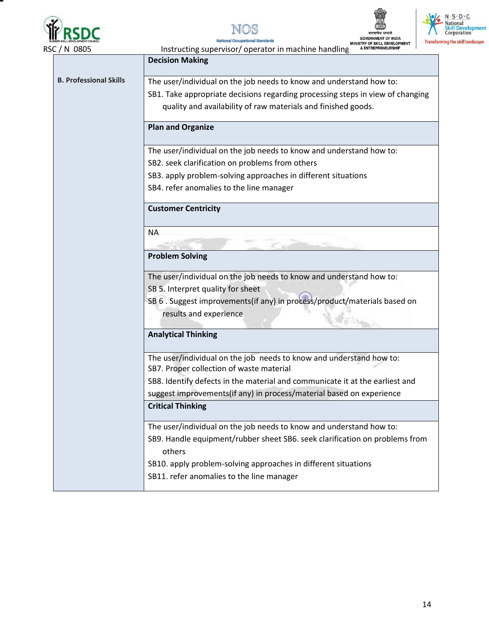







RSC / N 0805 **Instructing supervisor** / operator in machine handling **Decision Making B. Professional Skills**  The user/individual on the job needs to know and understand how to: SB1. Take appropriate decisions regarding processing steps in view of changing quality and availability of raw materials and finished goods. **Plan and Organize**  The user/individual on the job needs to know and understand how to: SB2. seek clarification on problems from others SB3. apply problem-solving approaches in different situations SB4. refer anomalies to the line manager **Customer Centricity**  NA **Problem Solving**  The user/individual on the job needs to know and understand how to: SB 5. Interpret quality for sheet SB 6 . Suggest improvements(if any) in process/product/materials based on results and experience  $K = 100$ **Analytical Thinking**  The user/individual on the job needs to know and understand how to: SB7. Proper collection of waste material SB8. Identify defects in the material and communicate it at the earliest and suggest improvements(if any) in process/material based on experience **Critical Thinking** The user/individual on the job needs to know and understand how to: SB9. Handle equipment/rubber sheet SB6. seek clarification on problems from others SB10. apply problem-solving approaches in different situations SB11. refer anomalies to the line manager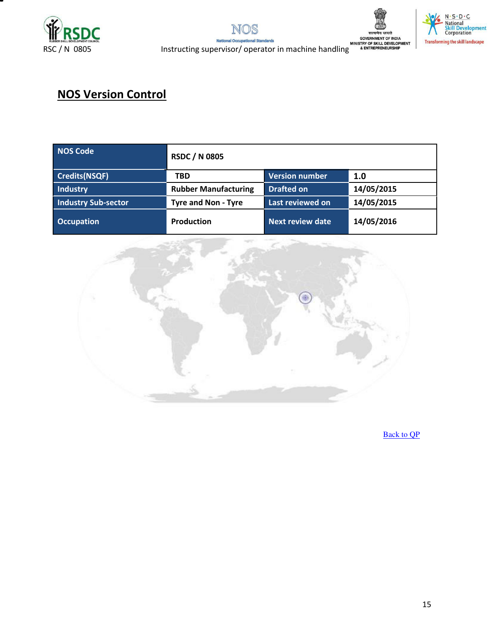







REC / N 0805 Instructing supervisor/ operator in machine handling **adventuation of INDIA**<br>RSC / N 0805 Instructing supervisor/ operator in machine handling **ALEX PREPRENEURSHIP** 

## **NOS Version Control**

| NOS Code                   | <b>RSDC / N 0805</b>        |                         |            |  |
|----------------------------|-----------------------------|-------------------------|------------|--|
| <b>Credits(NSQF)</b>       | TBD                         | <b>Version number</b>   | 1.0        |  |
| Industry                   | <b>Rubber Manufacturing</b> | <b>Drafted on</b>       | 14/05/2015 |  |
| <b>Industry Sub-sector</b> | <b>Tyre and Non - Tyre</b>  | Last reviewed on        | 14/05/2015 |  |
| <b>Occupation</b>          | <b>Production</b>           | <b>Next review date</b> | 14/05/2016 |  |



[Back to QP](#page-1-1)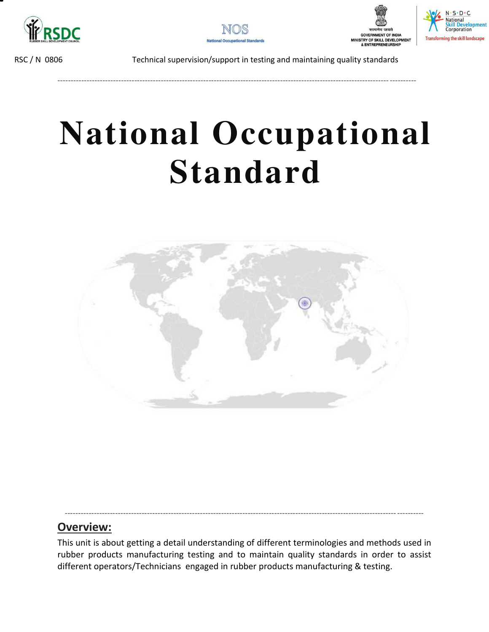



----------------------------------------------------------------------------------------------------------------------------- ----------





RSC / N 0806 Technical supervision/support in testing and maintaining quality standards

# **National Occupational Standard**

<span id="page-15-0"></span>

### **Overview:**

This unit is about getting a detail understanding of different terminologies and methods used in rubber products manufacturing testing and to maintain quality standards in order to assist different operators/Technicians engaged in rubber products manufacturing & testing.

----------------------------------------------------------------------------------------------------------------------------- ----------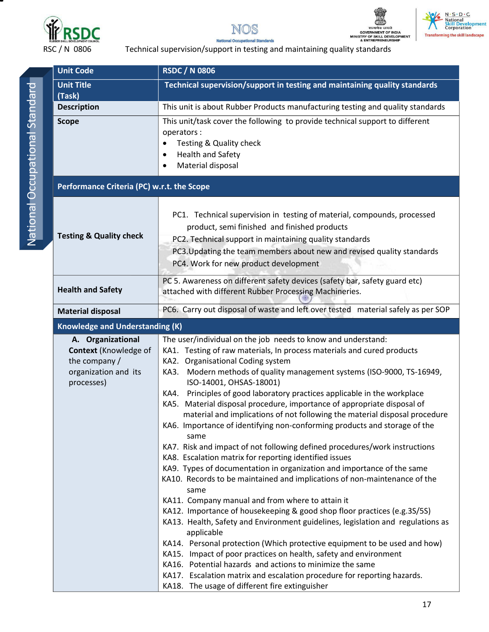







**National Occupational Standards** RSC / N 0806 Technical supervision/support in testing and maintaining quality standards

| <b>Unit Code</b>                                                                                                                                                                                                                                                                                                                            | <b>RSDC / N 0806</b>                                                                                                                                                                                                                                                                                                                                                                                                                                                                                                                                                                                                                                                                                                                                                                                                                                                                                                                                                                                                                                                                                                                                                                                                                                                                                                                                                                                                                          |  |  |
|---------------------------------------------------------------------------------------------------------------------------------------------------------------------------------------------------------------------------------------------------------------------------------------------------------------------------------------------|-----------------------------------------------------------------------------------------------------------------------------------------------------------------------------------------------------------------------------------------------------------------------------------------------------------------------------------------------------------------------------------------------------------------------------------------------------------------------------------------------------------------------------------------------------------------------------------------------------------------------------------------------------------------------------------------------------------------------------------------------------------------------------------------------------------------------------------------------------------------------------------------------------------------------------------------------------------------------------------------------------------------------------------------------------------------------------------------------------------------------------------------------------------------------------------------------------------------------------------------------------------------------------------------------------------------------------------------------------------------------------------------------------------------------------------------------|--|--|
| <b>Unit Title</b>                                                                                                                                                                                                                                                                                                                           | Technical supervision/support in testing and maintaining quality standards                                                                                                                                                                                                                                                                                                                                                                                                                                                                                                                                                                                                                                                                                                                                                                                                                                                                                                                                                                                                                                                                                                                                                                                                                                                                                                                                                                    |  |  |
| (Task)                                                                                                                                                                                                                                                                                                                                      |                                                                                                                                                                                                                                                                                                                                                                                                                                                                                                                                                                                                                                                                                                                                                                                                                                                                                                                                                                                                                                                                                                                                                                                                                                                                                                                                                                                                                                               |  |  |
| <b>Description</b>                                                                                                                                                                                                                                                                                                                          | This unit is about Rubber Products manufacturing testing and quality standards                                                                                                                                                                                                                                                                                                                                                                                                                                                                                                                                                                                                                                                                                                                                                                                                                                                                                                                                                                                                                                                                                                                                                                                                                                                                                                                                                                |  |  |
| <b>Scope</b>                                                                                                                                                                                                                                                                                                                                | This unit/task cover the following to provide technical support to different<br>operators:<br>Testing & Quality check<br><b>Health and Safety</b><br>$\bullet$<br>Material disposal                                                                                                                                                                                                                                                                                                                                                                                                                                                                                                                                                                                                                                                                                                                                                                                                                                                                                                                                                                                                                                                                                                                                                                                                                                                           |  |  |
| Performance Criteria (PC) w.r.t. the Scope                                                                                                                                                                                                                                                                                                  |                                                                                                                                                                                                                                                                                                                                                                                                                                                                                                                                                                                                                                                                                                                                                                                                                                                                                                                                                                                                                                                                                                                                                                                                                                                                                                                                                                                                                                               |  |  |
| PC1. Technical supervision in testing of material, compounds, processed<br>product, semi finished and finished products<br><b>Testing &amp; Quality check</b><br>PC2. Technical support in maintaining quality standards<br>PC3. Updating the team members about new and revised quality standards<br>PC4. Work for new product development |                                                                                                                                                                                                                                                                                                                                                                                                                                                                                                                                                                                                                                                                                                                                                                                                                                                                                                                                                                                                                                                                                                                                                                                                                                                                                                                                                                                                                                               |  |  |
| <b>Health and Safety</b>                                                                                                                                                                                                                                                                                                                    | PC 5. Awareness on different safety devices (safety bar, safety guard etc)<br>attached with different Rubber Processing Machineries.                                                                                                                                                                                                                                                                                                                                                                                                                                                                                                                                                                                                                                                                                                                                                                                                                                                                                                                                                                                                                                                                                                                                                                                                                                                                                                          |  |  |
| <b>Material disposal</b>                                                                                                                                                                                                                                                                                                                    | PC6. Carry out disposal of waste and left over tested material safely as per SOP                                                                                                                                                                                                                                                                                                                                                                                                                                                                                                                                                                                                                                                                                                                                                                                                                                                                                                                                                                                                                                                                                                                                                                                                                                                                                                                                                              |  |  |
| <b>Knowledge and Understanding (K)</b>                                                                                                                                                                                                                                                                                                      |                                                                                                                                                                                                                                                                                                                                                                                                                                                                                                                                                                                                                                                                                                                                                                                                                                                                                                                                                                                                                                                                                                                                                                                                                                                                                                                                                                                                                                               |  |  |
| A. Organizational<br><b>Context</b> (Knowledge of<br>the company /<br>organization and its<br>processes)                                                                                                                                                                                                                                    | The user/individual on the job needs to know and understand:<br>KA1. Testing of raw materials, In process materials and cured products<br>KA2. Organisational Coding system<br>KA3. Modern methods of quality management systems (ISO-9000, TS-16949,<br>ISO-14001, OHSAS-18001)<br>Principles of good laboratory practices applicable in the workplace<br>KA4.<br>KA5. Material disposal procedure, importance of appropriate disposal of<br>material and implications of not following the material disposal procedure<br>KA6. Importance of identifying non-conforming products and storage of the<br>same<br>KA7. Risk and impact of not following defined procedures/work instructions<br>KA8. Escalation matrix for reporting identified issues<br>KA9. Types of documentation in organization and importance of the same<br>KA10. Records to be maintained and implications of non-maintenance of the<br>same<br>KA11. Company manual and from where to attain it<br>KA12. Importance of housekeeping & good shop floor practices (e.g.3S/5S)<br>KA13. Health, Safety and Environment guidelines, legislation and regulations as<br>applicable<br>KA14. Personal protection (Which protective equipment to be used and how)<br>KA15. Impact of poor practices on health, safety and environment<br>KA16. Potential hazards and actions to minimize the same<br>KA17. Escalation matrix and escalation procedure for reporting hazards. |  |  |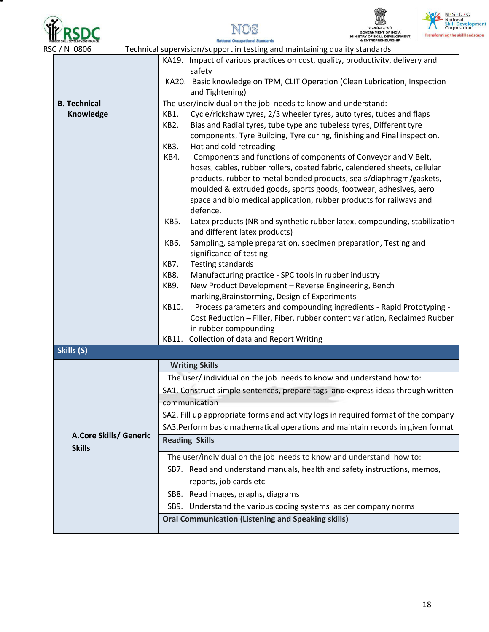







| C/N 0806                                | Technical supervision/support in testing and maintaining quality standards                                                                   |  |  |  |
|-----------------------------------------|----------------------------------------------------------------------------------------------------------------------------------------------|--|--|--|
|                                         | KA19. Impact of various practices on cost, quality, productivity, delivery and                                                               |  |  |  |
|                                         | safety                                                                                                                                       |  |  |  |
|                                         | KA20. Basic knowledge on TPM, CLIT Operation (Clean Lubrication, Inspection                                                                  |  |  |  |
| <b>B. Technical</b>                     | and Tightening)                                                                                                                              |  |  |  |
| Knowledge                               | The user/individual on the job needs to know and understand:<br>Cycle/rickshaw tyres, 2/3 wheeler tyres, auto tyres, tubes and flaps<br>KB1. |  |  |  |
|                                         | KB2.<br>Bias and Radial tyres, tube type and tubeless tyres, Different tyre                                                                  |  |  |  |
|                                         | components, Tyre Building, Tyre curing, finishing and Final inspection.                                                                      |  |  |  |
|                                         | KB3.<br>Hot and cold retreading                                                                                                              |  |  |  |
|                                         | Components and functions of components of Conveyor and V Belt,<br>KB4.                                                                       |  |  |  |
|                                         | hoses, cables, rubber rollers, coated fabric, calendered sheets, cellular                                                                    |  |  |  |
|                                         | products, rubber to metal bonded products, seals/diaphragm/gaskets,                                                                          |  |  |  |
|                                         | moulded & extruded goods, sports goods, footwear, adhesives, aero                                                                            |  |  |  |
|                                         | space and bio medical application, rubber products for railways and<br>defence.                                                              |  |  |  |
|                                         | KB5.<br>Latex products (NR and synthetic rubber latex, compounding, stabilization                                                            |  |  |  |
|                                         | and different latex products)                                                                                                                |  |  |  |
|                                         | Sampling, sample preparation, specimen preparation, Testing and<br>KB6.                                                                      |  |  |  |
|                                         | significance of testing                                                                                                                      |  |  |  |
|                                         | <b>Testing standards</b><br>KB7.<br>KB8.                                                                                                     |  |  |  |
|                                         | Manufacturing practice - SPC tools in rubber industry<br>New Product Development - Reverse Engineering, Bench<br>KB9.                        |  |  |  |
|                                         | marking, Brainstorming, Design of Experiments                                                                                                |  |  |  |
|                                         | KB10.<br>Process parameters and compounding ingredients - Rapid Prototyping -                                                                |  |  |  |
|                                         | Cost Reduction - Filler, Fiber, rubber content variation, Reclaimed Rubber                                                                   |  |  |  |
|                                         | in rubber compounding                                                                                                                        |  |  |  |
|                                         | KB11. Collection of data and Report Writing                                                                                                  |  |  |  |
| Skills (S)                              |                                                                                                                                              |  |  |  |
|                                         | <b>Writing Skills</b>                                                                                                                        |  |  |  |
|                                         | The user/ individual on the job needs to know and understand how to:                                                                         |  |  |  |
|                                         | SA1. Construct simple sentences, prepare tags and express ideas through written                                                              |  |  |  |
|                                         | communication                                                                                                                                |  |  |  |
|                                         | SA2. Fill up appropriate forms and activity logs in required format of the company                                                           |  |  |  |
|                                         | SA3. Perform basic mathematical operations and maintain records in given format                                                              |  |  |  |
| A.Core Skills/ Generic<br><b>Skills</b> | <b>Reading Skills</b>                                                                                                                        |  |  |  |
|                                         | The user/individual on the job needs to know and understand how to:                                                                          |  |  |  |
|                                         | SB7. Read and understand manuals, health and safety instructions, memos,                                                                     |  |  |  |
|                                         | reports, job cards etc                                                                                                                       |  |  |  |
|                                         | SB8. Read images, graphs, diagrams                                                                                                           |  |  |  |
|                                         | SB9. Understand the various coding systems as per company norms                                                                              |  |  |  |
|                                         | <b>Oral Communication (Listening and Speaking skills)</b>                                                                                    |  |  |  |
|                                         |                                                                                                                                              |  |  |  |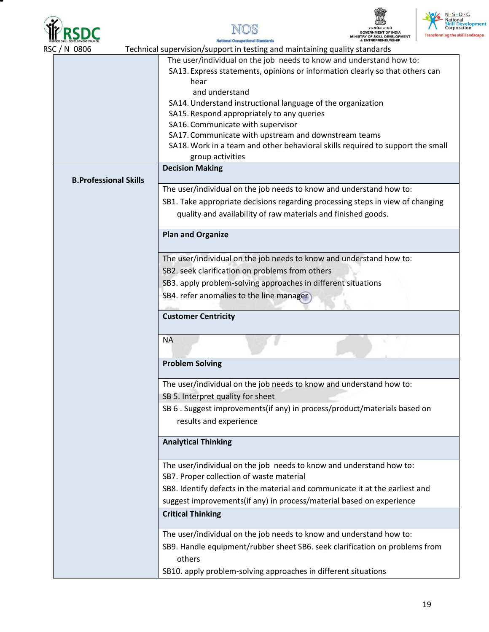

 $\mathbf{I}$ 







|  | <b>RUBBER SKILL DEVELOPMENT COUNCIL</b>                       | & ENTREPRENEURSHIP<br><b>National Occupational Standards</b>                   |  |  |  |
|--|---------------------------------------------------------------|--------------------------------------------------------------------------------|--|--|--|
|  | RSC / N 0806                                                  | Technical supervision/support in testing and maintaining quality standards     |  |  |  |
|  |                                                               | The user/individual on the job needs to know and understand how to:            |  |  |  |
|  |                                                               | SA13. Express statements, opinions or information clearly so that others can   |  |  |  |
|  |                                                               | hear                                                                           |  |  |  |
|  |                                                               | and understand                                                                 |  |  |  |
|  |                                                               | SA14. Understand instructional language of the organization                    |  |  |  |
|  |                                                               | SA15. Respond appropriately to any queries                                     |  |  |  |
|  |                                                               | SA16. Communicate with supervisor                                              |  |  |  |
|  |                                                               | SA17. Communicate with upstream and downstream teams                           |  |  |  |
|  |                                                               | SA18. Work in a team and other behavioral skills required to support the small |  |  |  |
|  |                                                               | group activities                                                               |  |  |  |
|  |                                                               | <b>Decision Making</b>                                                         |  |  |  |
|  | <b>B.Professional Skills</b>                                  |                                                                                |  |  |  |
|  |                                                               | The user/individual on the job needs to know and understand how to:            |  |  |  |
|  |                                                               | SB1. Take appropriate decisions regarding processing steps in view of changing |  |  |  |
|  |                                                               |                                                                                |  |  |  |
|  |                                                               | quality and availability of raw materials and finished goods.                  |  |  |  |
|  |                                                               | <b>Plan and Organize</b>                                                       |  |  |  |
|  |                                                               |                                                                                |  |  |  |
|  |                                                               |                                                                                |  |  |  |
|  |                                                               | The user/individual on the job needs to know and understand how to:            |  |  |  |
|  |                                                               | SB2. seek clarification on problems from others                                |  |  |  |
|  | SB3. apply problem-solving approaches in different situations |                                                                                |  |  |  |
|  | SB4. refer anomalies to the line manager                      |                                                                                |  |  |  |
|  |                                                               |                                                                                |  |  |  |
|  |                                                               | <b>Customer Centricity</b>                                                     |  |  |  |
|  |                                                               |                                                                                |  |  |  |
|  |                                                               | <b>NA</b>                                                                      |  |  |  |
|  |                                                               | <b>Problem Solving</b>                                                         |  |  |  |
|  |                                                               | The user/individual on the job needs to know and understand how to:            |  |  |  |
|  |                                                               | SB 5. Interpret quality for sheet                                              |  |  |  |
|  |                                                               | SB 6. Suggest improvements(if any) in process/product/materials based on       |  |  |  |
|  |                                                               | results and experience                                                         |  |  |  |
|  |                                                               |                                                                                |  |  |  |
|  | <b>Analytical Thinking</b>                                    |                                                                                |  |  |  |
|  |                                                               | The user/individual on the job needs to know and understand how to:            |  |  |  |
|  |                                                               | SB7. Proper collection of waste material                                       |  |  |  |
|  |                                                               |                                                                                |  |  |  |
|  |                                                               | SB8. Identify defects in the material and communicate it at the earliest and   |  |  |  |
|  |                                                               | suggest improvements(if any) in process/material based on experience           |  |  |  |
|  |                                                               | <b>Critical Thinking</b>                                                       |  |  |  |
|  |                                                               | The user/individual on the job needs to know and understand how to:            |  |  |  |
|  |                                                               | SB9. Handle equipment/rubber sheet SB6. seek clarification on problems from    |  |  |  |
|  |                                                               | others                                                                         |  |  |  |
|  |                                                               | SB10. apply problem-solving approaches in different situations                 |  |  |  |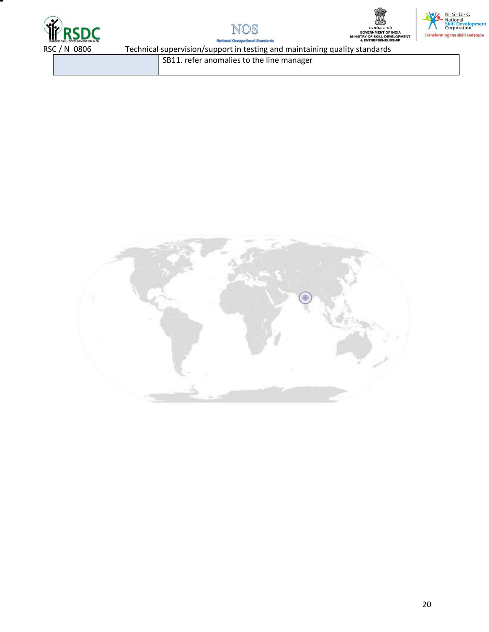







**National Occupat** onal Standards

SB11. refer anomalies to the line manager

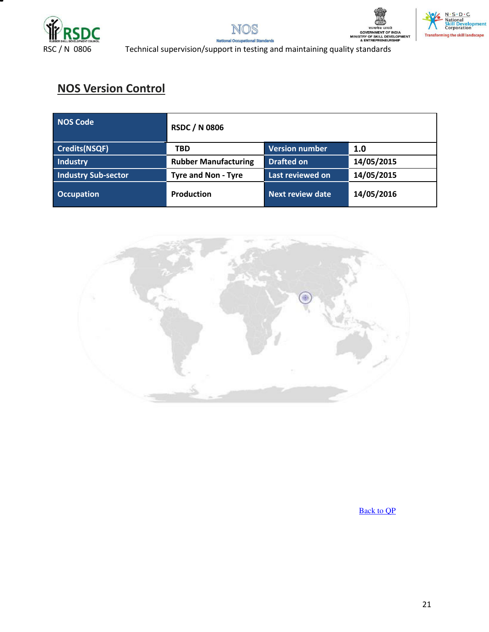







RSC / N 0806 Technical supervision/support in testing and maintaining quality standards

## **NOS Version Control**

| <b>NOS Code</b>            | <b>RSDC / N 0806</b>        |                         |            |
|----------------------------|-----------------------------|-------------------------|------------|
| Credits(NSQF)              | <b>TBD</b>                  | <b>Version number</b>   | 1.0        |
| <b>Industry</b>            | <b>Rubber Manufacturing</b> | <b>Drafted on</b>       | 14/05/2015 |
| <b>Industry Sub-sector</b> | <b>Tyre and Non - Tyre</b>  | Last reviewed on        | 14/05/2015 |
| <b>Occupation</b>          | <b>Production</b>           | <b>Next review date</b> | 14/05/2016 |



[Back to QP](#page-1-1)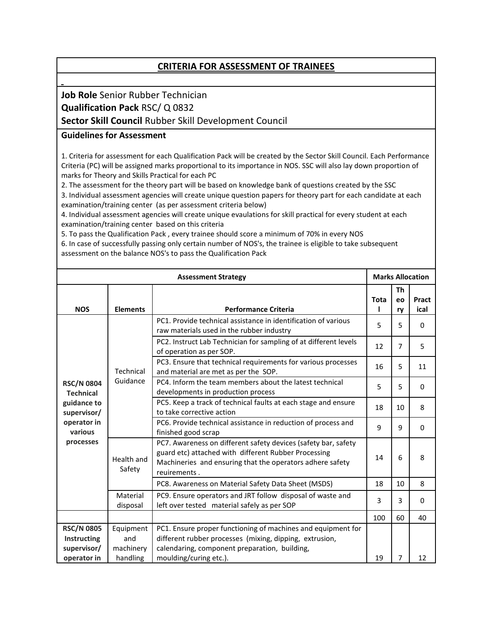#### **CRITERIA FOR ASSESSMENT OF TRAINEES**

#### **Job Role** Senior Rubber Technician **Qualification Pack** RSC/ Q 0832

#### **Sector Skill Council** Rubber Skill Development Council

#### **Guidelines for Assessment**

1. Criteria for assessment for each Qualification Pack will be created by the Sector Skill Council. Each Performance Criteria (PC) will be assigned marks proportional to its importance in NOS. SSC will also lay down proportion of marks for Theory and Skills Practical for each PC

2. The assessment for the theory part will be based on knowledge bank of questions created by the SSC 3. Individual assessment agencies will create unique question papers for theory part for each candidate at each examination/training center (as per assessment criteria below)

4. Individual assessment agencies will create unique evaulations for skill practical for every student at each examination/training center based on this criteria

5. To pass the Qualification Pack , every trainee should score a minimum of 70% in every NOS

6. In case of successfully passing only certain number of NOS's, the trainee is eligible to take subsequent assessment on the balance NOS's to pass the Qualification Pack

| <b>Assessment Strategy</b>                                                                                 |                               | <b>Marks Allocation</b>                                                                                                                                                                             |      |                |               |
|------------------------------------------------------------------------------------------------------------|-------------------------------|-----------------------------------------------------------------------------------------------------------------------------------------------------------------------------------------------------|------|----------------|---------------|
| <b>NOS</b>                                                                                                 | <b>Elements</b>               | <b>Performance Criteria</b>                                                                                                                                                                         | Tota | Th<br>eo<br>ry | Pract<br>ical |
| <b>RSC/N 0804</b><br><b>Technical</b><br>guidance to<br>supervisor/<br>operator in<br>various<br>processes | Technical<br>Guidance         | PC1. Provide technical assistance in identification of various<br>raw materials used in the rubber industry                                                                                         | 5    | 5              | $\Omega$      |
|                                                                                                            |                               | PC2. Instruct Lab Technician for sampling of at different levels<br>of operation as per SOP.                                                                                                        | 12   | $\overline{7}$ | 5             |
|                                                                                                            |                               | PC3. Ensure that technical requirements for various processes<br>and material are met as per the SOP.                                                                                               | 16   | 5              | 11            |
|                                                                                                            |                               | PC4. Inform the team members about the latest technical<br>developments in production process                                                                                                       | 5    | 5              | $\Omega$      |
|                                                                                                            |                               | PC5. Keep a track of technical faults at each stage and ensure<br>to take corrective action                                                                                                         | 18   | 10             | 8             |
|                                                                                                            |                               | PC6. Provide technical assistance in reduction of process and<br>finished good scrap                                                                                                                | 9    | 9              | $\Omega$      |
|                                                                                                            | Health and<br>Safety          | PC7. Awareness on different safety devices (safety bar, safety<br>guard etc) attached with different Rubber Processing<br>Machineries and ensuring that the operators adhere safety<br>reuirements. | 14   | 6              | 8             |
|                                                                                                            |                               | PC8. Awareness on Material Safety Data Sheet (MSDS)                                                                                                                                                 | 18   | 10             | 8             |
|                                                                                                            | Material<br>disposal          | PC9. Ensure operators and JRT follow disposal of waste and<br>left over tested material safely as per SOP                                                                                           | 3    | 3              | $\Omega$      |
|                                                                                                            |                               |                                                                                                                                                                                                     | 100  | 60             | 40            |
| <b>RSC/N 0805</b><br>Instructing<br>supervisor/                                                            | Equipment<br>and<br>machinery | PC1. Ensure proper functioning of machines and equipment for<br>different rubber processes (mixing, dipping, extrusion,<br>calendaring, component preparation, building,                            |      |                |               |
| operator in                                                                                                | handling                      | moulding/curing etc.).                                                                                                                                                                              | 19   | 7              | 12            |